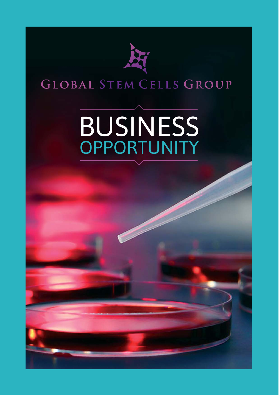

## GLOBAL STEM CELLS GROUP

# **BUSINESS OPPORTUNITY**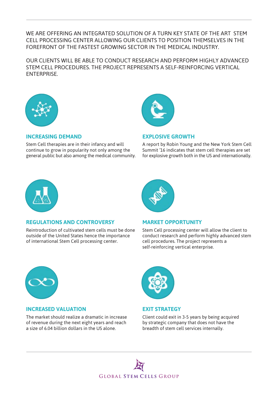## WE ARE OFFERING AN INTEGRATED SOLUTION OF A TURN KEY STATE OF THE ART STEM CELL PROCESSING CENTER ALLOWING OUR CLIENTS TO POSITION THEMSELVES IN THE FOREFRONT OF THE FASTEST GROWING SECTOR IN THE MEDICAL INDUSTRY.

OUR CLIENTS WILL BE ABLE TO CONDUCT RESEARCH AND PERFORM HIGHLY ADVANCED STEM CELL PROCEDURES. THE PROJECT REPRESENTS A SELF-REINFORCING VERTICAL ENTERPRISE.



### **INCREASING DEMAND**

Stem Cell therapies are in their infancy and will continue to grow in popularity not only among the general public but also among the medical community.



#### **EXPLOSIVE GROWTH**

A report by Robin Young and the New York Stem Cell Summit '16 indicates that stem cell therapies are set for explosive growth both in the US and internationally.



### **REGULATIONS AND CONTROVERSY**

Reintroduction of cultivated stem cells must be done outside of the United States hence the importance of international Stem Cell processing center.



### **MARKET OPPORTUNITY**

Stem Cell processing center will allow the client to conduct research and perform highly advanced stem cell procedures. The project represents a self-reinforcing vertical enterprise.



### **INCREASED VALUATION**

The market should realize a dramatic in increase of revenue during the next eight years and reach a size of 6.04 billion dollars in the US alone.



## **EXIT STRATEGY**

Client could exit in 3-5 years by being acquired by strategic company that does not have the breadth of stem cell services internally.

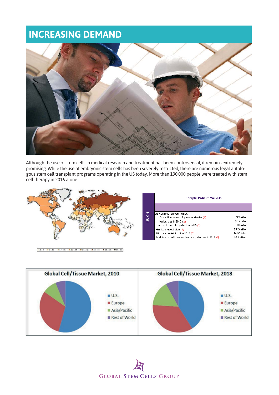## **INCREASING DEMAND**



Although the use of stem cells in medical research and treatment has been controversial, it remains extremely promising. While the use of embryonic stem cells has been severely restricted, there are numerous legal autologous stem cell transplant programs operating in the US today. More than 190,000 people were treated with stem cell therapy in 2016 alone





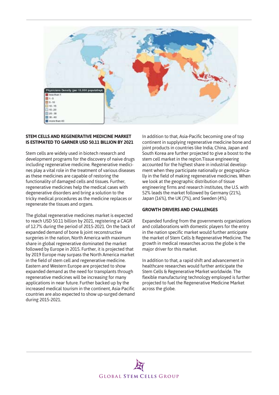

#### **STEM CELLS AND REGENERATIVE MEDICINE MARKET IS ESTIMATED TO GARNER USD 50.11 BILLION BY 2021**

Stem cells are widely used in biotech research and development programs for the discovery of naive drugs including regenerative medicine. Regenerative medicines play a vital role in the treatment of various diseases as these medicines are capable of restoring the functionality of damaged cells and tissues. Further, regenerative medicines help the medical cases with degenerative disorders and bring a solution to the tricky medical procedures as the medicine replaces or regenerate the tissues and organs.

The global regenerative medicines market is expected to reach USD 50.11 billion by 2021, registering a CAGR of 12.7% during the period of 2015-2021. On the back of expanded demand of bone & joint reconstructive surgeries in the nation, North America with maximum share in global regenerative dominated the market followed by Europe in 2015. Further, it is projected that by 2019 Europe may surpass the North America market in the field of stem cell and regenerative medicine. Eastern and Western Europe are projected to show expanded demand as the need for transplants through regenerative medicines will be increasing for many applications in near future. Further backed up by the increased medical tourism in the continent, Asia-Pacific countries are also expected to show up-surged demand during 2015-2021.

In addition to that, Asia-Pacific becoming one of top continent in supplying regenerative medicine bone and joint products in countries like India, China, Japan and South Korea are further projected to give a boost to the stem cell market in the region.Tissue engineering accounted for the highest share in industrial development when they participate nationally or geographically in the field of making regenerative medicines. When we look at the geographic distribution of tissue engineering firms and research institutes, the U.S. with 52% leads the market followed by Germany (21%), Japan (16%), the UK (7%), and Sweden (4%).

#### **GROWTH DRIVERS AND CHALLENGES**

Expanded funding from the governments organizations and collaborations with domestic players for the entry in the nation specific market would further anticipate the market of Stem Cells & Regenerative Medicine. The growth in medical researches across the globe is the major driver for this market.

In addition to that, a rapid shift and advancement in healthcare researches would further anticipate the Stem Cells & Regenerative Market worldwide. The flexible manufacturing technology employed is further projected to fuel the Regenerative Medicine Market across the globe.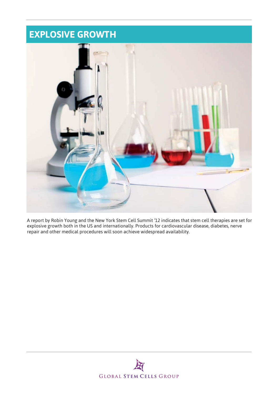## **EXPLOSIVE GROWTH**



A report by Robin Young and the New York Stem Cell Summit '12 indicates that stem cell therapies are set for explosive growth both in the US and internationally. Products for cardiovascular disease, diabetes, nerve repair and other medical procedures will soon achieve widespread availability.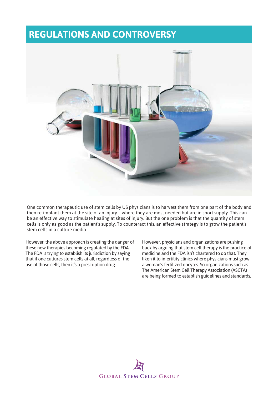## **REGULATIONS AND CONTROVERSY**



One common therapeutic use of stem cells by US physicians is to harvest them from one part of the body and then re-implant them at the site of an injury—where they are most needed but are in short supply. This can be an effective way to stimulate healing at sites of injury. But the one problem is that the quantity of stem cells is only as good as the patient's supply. To counteract this, an effective strategy is to grow the patient's stem cells in a culture media.

However, the above approach is creating the danger of these new therapies becoming regulated by the FDA. The FDA is trying to establish its jurisdiction by saying that if one cultures stem cells at all, regardless of the use of those cells, then it's a prescription drug.

However, physicians and organizations are pushing back by arguing that stem cell therapy is the practice of medicine and the FDA isn't chartered to do that. They liken it to infertility clinics where physicians must grow a woman's fertilized oocytes. So organizations such as The American Stem Cell Therapy Association (ASCTA) are being formed to establish guidelines and standards.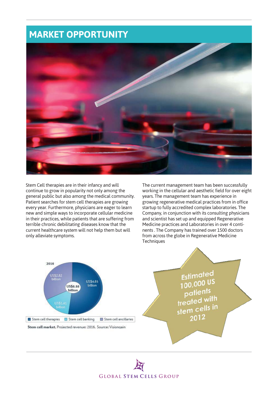## **MARKET OPPORTUNITY**



Stem Cell therapies are in their infancy and will continue to grow in popularity not only among the general public but also among the medical community. Patient searches for stem cell therapies are growing every year. Furthermore, physicians are eager to learn new and simple ways to incorporate cellular medicine in their practices, while patients that are suffering from terrible chronic debilitating diseases know that the current healthcare system will not help them but will only alleviate symptoms.

The current management team has been successfully working in the cellular and aesthetic field for over eight years. The management team has experience in growing regenerative medical practices from in office startup to fully accredited complex laboratories. The Company, in conjunction with its consulting physicians and scientist has set up and equipped Regenerative Medicine practices and Laboratories in over 4 continents . The Company has trained over 1500 doctors from across the globe in Regenerative Medicine **Techniques** 



**Estimated** Estimated<br>100,000 US  $\frac{100,000}{\text{patients}}$ palleting<br>treated with  $\frac{1}{100}$  region cells in 2012

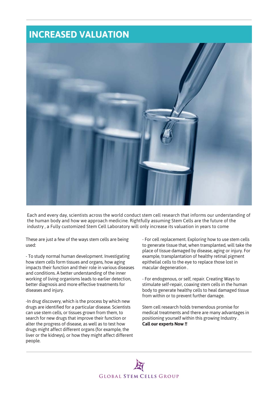## **INCREASED VALUATION**



Each and every day, scientists across the world conduct stem cell research that informs our understanding of the human body and how we approach medicine. Rightfully assuming Stem Cells are the future of the industry , a Fully customized Stem Cell Laboratory will only increase its valuation in years to come

These are just a few of the ways stem cells are being used:

- To study normal human development. Investigating how stem cells form tissues and organs, how aging impacts their function and their role in various diseases and conditions. A better understanding of the inner working of living organisms leads to earlier detection, better diagnosis and more effective treatments for diseases and injury.

-In drug discovery, which is the process by which new drugs are identified for a particular disease. Scientists can use stem cells, or tissues grown from them, to search for new drugs that improve their function or alter the progress of disease, as well as to test how drugs might affect different organs (for example, the liver or the kidneys), or how they might affect different people.

- For cell replacement. Exploring how to use stem cells to generate tissue that, when transplanted, will take the place of tissue damaged by disease, aging or injury. For example, transplantation of healthy retinal pigment epithelial cells to the eye to replace those lost in macular degeneration .

- For endogenous, or self, repair. Creating Ways to stimulate self-repair, coaxing stem cells in the human body to generate healthy cells to heal damaged tissue from within or to prevent further damage.

Stem cell research holds tremendous promise for medical treatments and there are many advantages in positioning yourself within this growing Industry . **Call our experts Now !!**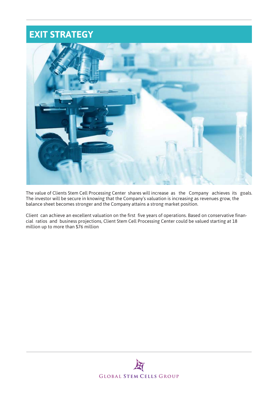## **EXIT STRATEGY**



The value of Clients Stem Cell Processing Center shares will increase as the Company achieves its goals. The investor will be secure in knowing that the Company's valuation is increasing as revenues grow, the balance sheet becomes stronger and the Company attains a strong market position.

Client can achieve an excellent valuation on the first five years of operations. Based on conservative financial ratios and business projections, Client Stem Cell Processing Center could be valued starting at 18 million up to more than \$76 million